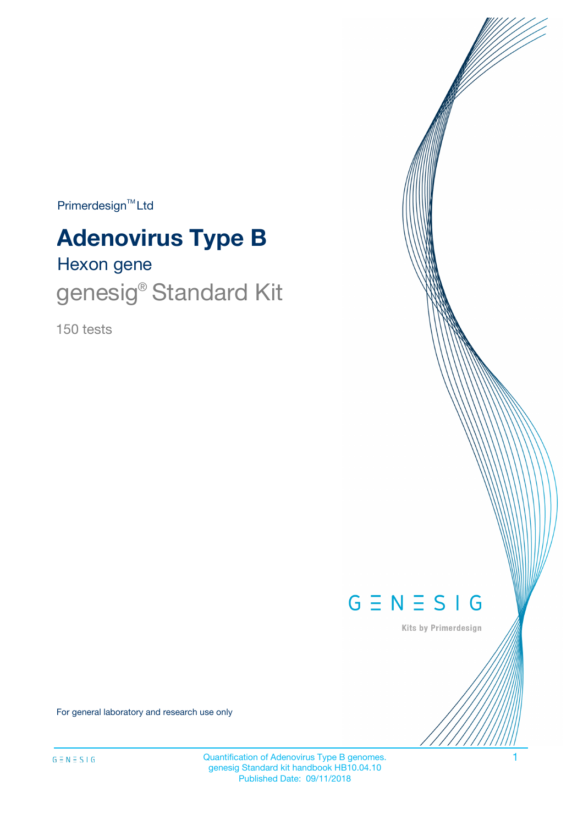$Primerdesign^{\text{TM}}Ltd$ 

# **Adenovirus Type B**

## Hexon gene genesig® Standard Kit

150 tests



Kits by Primerdesign

For general laboratory and research use only

Quantification of Adenovirus Type B genomes. 1 genesig Standard kit handbook HB10.04.10 Published Date: 09/11/2018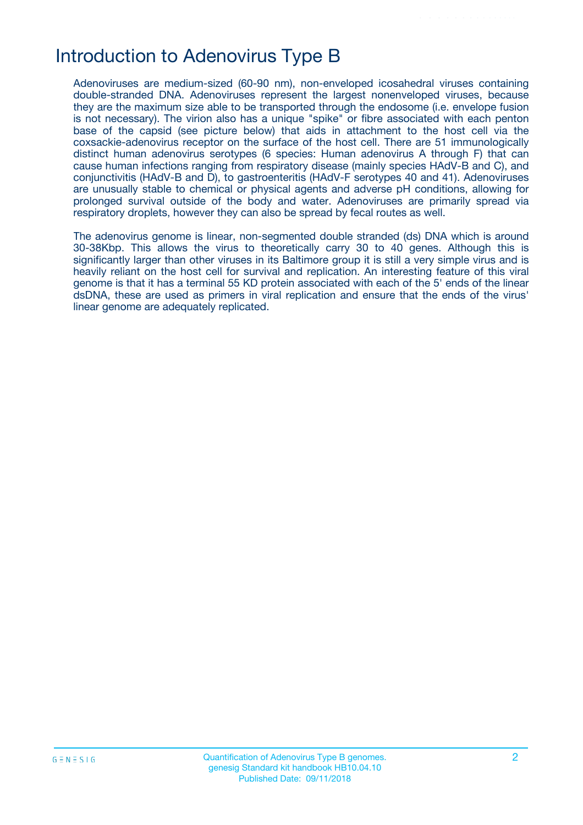### Introduction to Adenovirus Type B

Adenoviruses are medium-sized (60-90 nm), non-enveloped icosahedral viruses containing double-stranded DNA. Adenoviruses represent the largest nonenveloped viruses, because they are the maximum size able to be transported through the endosome (i.e. envelope fusion is not necessary). The virion also has a unique "spike" or fibre associated with each penton base of the capsid (see picture below) that aids in attachment to the host cell via the coxsackie-adenovirus receptor on the surface of the host cell. There are 51 immunologically distinct human adenovirus serotypes (6 species: Human adenovirus A through F) that can cause human infections ranging from respiratory disease (mainly species HAdV-B and C), and conjunctivitis (HAdV-B and D), to gastroenteritis (HAdV-F serotypes 40 and 41). Adenoviruses are unusually stable to chemical or physical agents and adverse pH conditions, allowing for prolonged survival outside of the body and water. Adenoviruses are primarily spread via respiratory droplets, however they can also be spread by fecal routes as well.

The adenovirus genome is linear, non-segmented double stranded (ds) DNA which is around 30-38Kbp. This allows the virus to theoretically carry 30 to 40 genes. Although this is significantly larger than other viruses in its Baltimore group it is still a very simple virus and is heavily reliant on the host cell for survival and replication. An interesting feature of this viral genome is that it has a terminal 55 KD protein associated with each of the 5' ends of the linear dsDNA, these are used as primers in viral replication and ensure that the ends of the virus' linear genome are adequately replicated.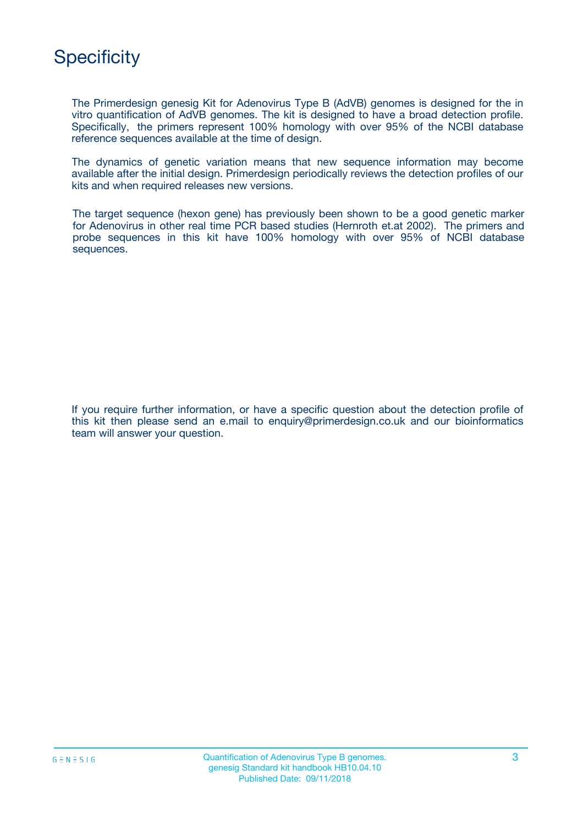### **Specificity**

The Primerdesign genesig Kit for Adenovirus Type B (AdVB) genomes is designed for the in vitro quantification of AdVB genomes. The kit is designed to have a broad detection profile. Specifically, the primers represent 100% homology with over 95% of the NCBI database reference sequences available at the time of design.

The dynamics of genetic variation means that new sequence information may become available after the initial design. Primerdesign periodically reviews the detection profiles of our kits and when required releases new versions.

The target sequence (hexon gene) has previously been shown to be a good genetic marker for Adenovirus in other real time PCR based studies (Hernroth et.at 2002). The primers and probe sequences in this kit have 100% homology with over 95% of NCBI database sequences.

If you require further information, or have a specific question about the detection profile of this kit then please send an e.mail to enquiry@primerdesign.co.uk and our bioinformatics team will answer your question.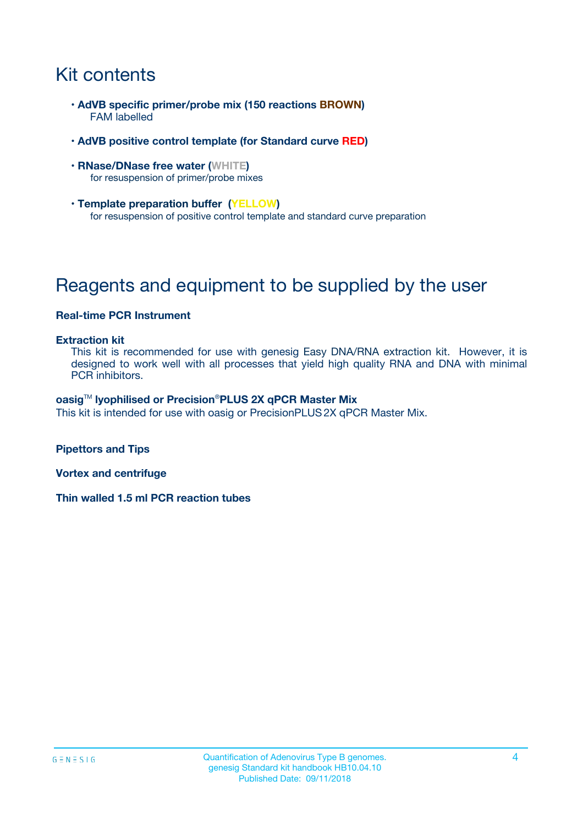### Kit contents

- **AdVB specific primer/probe mix (150 reactions BROWN)** FAM labelled
- **AdVB positive control template (for Standard curve RED)**
- **RNase/DNase free water (WHITE)** for resuspension of primer/probe mixes
- **Template preparation buffer (YELLOW)** for resuspension of positive control template and standard curve preparation

### Reagents and equipment to be supplied by the user

#### **Real-time PCR Instrument**

#### **Extraction kit**

This kit is recommended for use with genesig Easy DNA/RNA extraction kit. However, it is designed to work well with all processes that yield high quality RNA and DNA with minimal PCR inhibitors.

#### **oasig**TM **lyophilised or Precision**®**PLUS 2X qPCR Master Mix**

This kit is intended for use with oasig or PrecisionPLUS2X qPCR Master Mix.

**Pipettors and Tips**

**Vortex and centrifuge**

**Thin walled 1.5 ml PCR reaction tubes**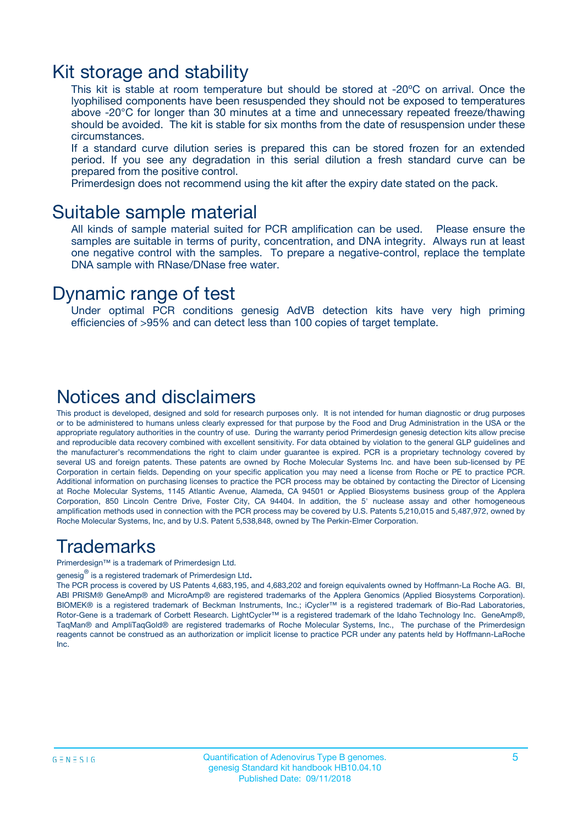### Kit storage and stability

This kit is stable at room temperature but should be stored at -20ºC on arrival. Once the lyophilised components have been resuspended they should not be exposed to temperatures above -20°C for longer than 30 minutes at a time and unnecessary repeated freeze/thawing should be avoided. The kit is stable for six months from the date of resuspension under these circumstances.

If a standard curve dilution series is prepared this can be stored frozen for an extended period. If you see any degradation in this serial dilution a fresh standard curve can be prepared from the positive control.

Primerdesign does not recommend using the kit after the expiry date stated on the pack.

#### Suitable sample material

All kinds of sample material suited for PCR amplification can be used. Please ensure the samples are suitable in terms of purity, concentration, and DNA integrity. Always run at least one negative control with the samples. To prepare a negative-control, replace the template DNA sample with RNase/DNase free water.

#### Dynamic range of test

Under optimal PCR conditions genesig AdVB detection kits have very high priming efficiencies of >95% and can detect less than 100 copies of target template.

#### Notices and disclaimers

This product is developed, designed and sold for research purposes only. It is not intended for human diagnostic or drug purposes or to be administered to humans unless clearly expressed for that purpose by the Food and Drug Administration in the USA or the appropriate regulatory authorities in the country of use. During the warranty period Primerdesign genesig detection kits allow precise and reproducible data recovery combined with excellent sensitivity. For data obtained by violation to the general GLP guidelines and the manufacturer's recommendations the right to claim under guarantee is expired. PCR is a proprietary technology covered by several US and foreign patents. These patents are owned by Roche Molecular Systems Inc. and have been sub-licensed by PE Corporation in certain fields. Depending on your specific application you may need a license from Roche or PE to practice PCR. Additional information on purchasing licenses to practice the PCR process may be obtained by contacting the Director of Licensing at Roche Molecular Systems, 1145 Atlantic Avenue, Alameda, CA 94501 or Applied Biosystems business group of the Applera Corporation, 850 Lincoln Centre Drive, Foster City, CA 94404. In addition, the 5' nuclease assay and other homogeneous amplification methods used in connection with the PCR process may be covered by U.S. Patents 5,210,015 and 5,487,972, owned by Roche Molecular Systems, Inc, and by U.S. Patent 5,538,848, owned by The Perkin-Elmer Corporation.

### Trademarks

Primerdesign™ is a trademark of Primerdesign Ltd.

genesig $^\circledR$  is a registered trademark of Primerdesign Ltd.

The PCR process is covered by US Patents 4,683,195, and 4,683,202 and foreign equivalents owned by Hoffmann-La Roche AG. BI, ABI PRISM® GeneAmp® and MicroAmp® are registered trademarks of the Applera Genomics (Applied Biosystems Corporation). BIOMEK® is a registered trademark of Beckman Instruments, Inc.; iCycler™ is a registered trademark of Bio-Rad Laboratories, Rotor-Gene is a trademark of Corbett Research. LightCycler™ is a registered trademark of the Idaho Technology Inc. GeneAmp®, TaqMan® and AmpliTaqGold® are registered trademarks of Roche Molecular Systems, Inc., The purchase of the Primerdesign reagents cannot be construed as an authorization or implicit license to practice PCR under any patents held by Hoffmann-LaRoche Inc.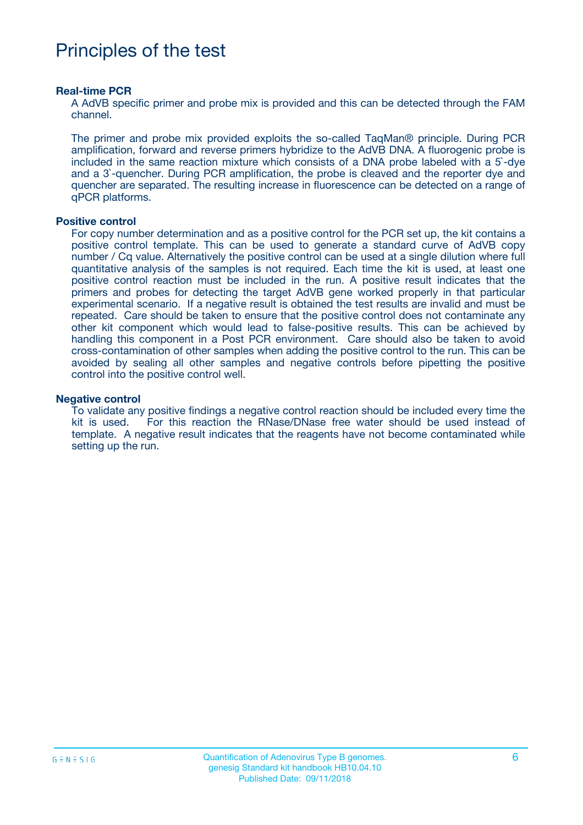### Principles of the test

#### **Real-time PCR**

A AdVB specific primer and probe mix is provided and this can be detected through the FAM channel.

The primer and probe mix provided exploits the so-called TaqMan® principle. During PCR amplification, forward and reverse primers hybridize to the AdVB DNA. A fluorogenic probe is included in the same reaction mixture which consists of a DNA probe labeled with a 5`-dye and a 3`-quencher. During PCR amplification, the probe is cleaved and the reporter dye and quencher are separated. The resulting increase in fluorescence can be detected on a range of qPCR platforms.

#### **Positive control**

For copy number determination and as a positive control for the PCR set up, the kit contains a positive control template. This can be used to generate a standard curve of AdVB copy number / Cq value. Alternatively the positive control can be used at a single dilution where full quantitative analysis of the samples is not required. Each time the kit is used, at least one positive control reaction must be included in the run. A positive result indicates that the primers and probes for detecting the target AdVB gene worked properly in that particular experimental scenario. If a negative result is obtained the test results are invalid and must be repeated. Care should be taken to ensure that the positive control does not contaminate any other kit component which would lead to false-positive results. This can be achieved by handling this component in a Post PCR environment. Care should also be taken to avoid cross-contamination of other samples when adding the positive control to the run. This can be avoided by sealing all other samples and negative controls before pipetting the positive control into the positive control well.

#### **Negative control**

To validate any positive findings a negative control reaction should be included every time the kit is used. For this reaction the RNase/DNase free water should be used instead of template. A negative result indicates that the reagents have not become contaminated while setting up the run.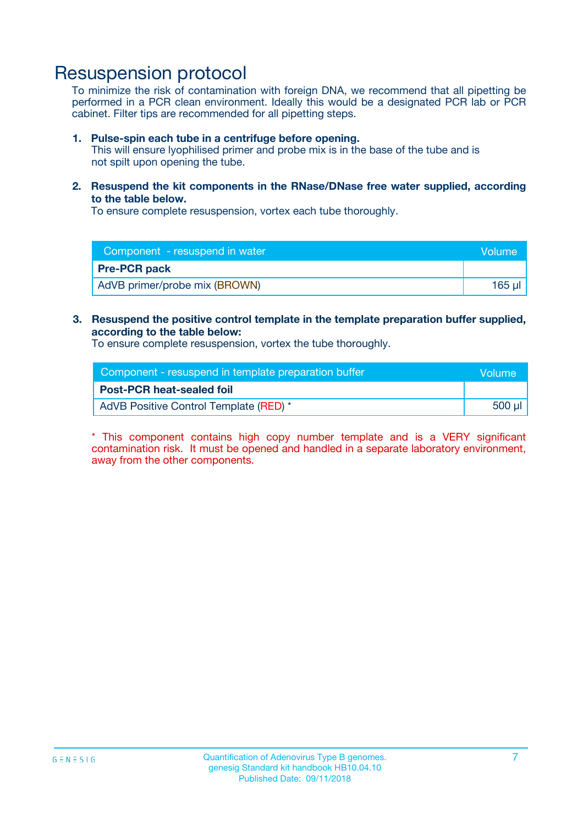### Resuspension protocol

To minimize the risk of contamination with foreign DNA, we recommend that all pipetting be performed in a PCR clean environment. Ideally this would be a designated PCR lab or PCR cabinet. Filter tips are recommended for all pipetting steps.

#### **1. Pulse-spin each tube in a centrifuge before opening.**

This will ensure lyophilised primer and probe mix is in the base of the tube and is not spilt upon opening the tube.

**2. Resuspend the kit components in the RNase/DNase free water supplied, according to the table below.**

To ensure complete resuspension, vortex each tube thoroughly.

| Component - resuspend in water<br>Volume |        |
|------------------------------------------|--------|
| <b>Pre-PCR pack</b>                      |        |
| AdVB primer/probe mix (BROWN)            | 165 ul |

#### **3. Resuspend the positive control template in the template preparation buffer supplied, according to the table below:**

To ensure complete resuspension, vortex the tube thoroughly.

| Component - resuspend in template preparation buffer | <b>Nolume</b> |
|------------------------------------------------------|---------------|
| <b>Post-PCR heat-sealed foil</b>                     |               |
| AdVB Positive Control Template (RED) *               | 500 µl        |

\* This component contains high copy number template and is a VERY significant contamination risk. It must be opened and handled in a separate laboratory environment, away from the other components.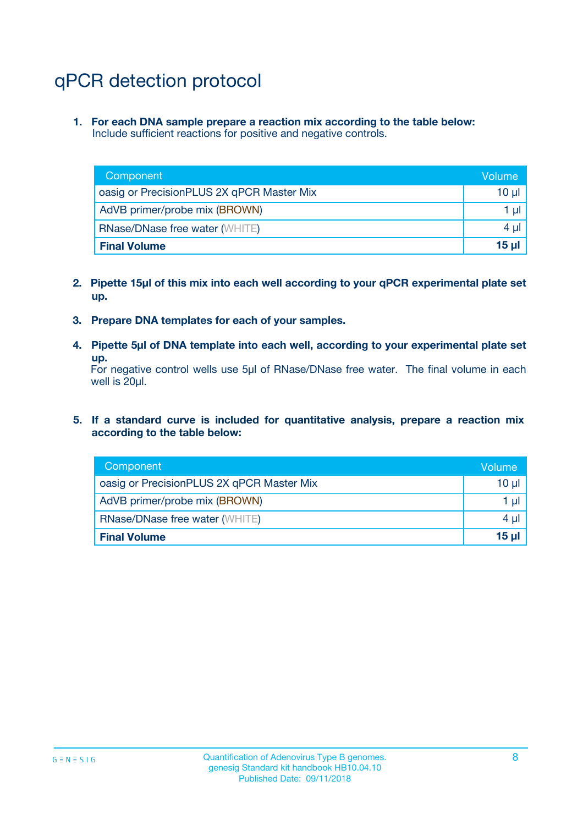### qPCR detection protocol

**1. For each DNA sample prepare a reaction mix according to the table below:** Include sufficient reactions for positive and negative controls.

| Component                                 | Volume           |
|-------------------------------------------|------------------|
| oasig or PrecisionPLUS 2X qPCR Master Mix | 10 $\mu$         |
| AdVB primer/probe mix (BROWN)             | 1 $\mu$          |
| <b>RNase/DNase free water (WHITE)</b>     | $4 \mu$          |
| <b>Final Volume</b>                       | 15 <sub>ul</sub> |

- **2. Pipette 15µl of this mix into each well according to your qPCR experimental plate set up.**
- **3. Prepare DNA templates for each of your samples.**
- **4. Pipette 5µl of DNA template into each well, according to your experimental plate set up.**

For negative control wells use 5µl of RNase/DNase free water. The final volume in each well is 20µl.

**5. If a standard curve is included for quantitative analysis, prepare a reaction mix according to the table below:**

| Component                                 | Volume          |
|-------------------------------------------|-----------------|
| oasig or PrecisionPLUS 2X qPCR Master Mix | 10 µl           |
| AdVB primer/probe mix (BROWN)             | 1 µI            |
| <b>RNase/DNase free water (WHITE)</b>     | $4 \mu$         |
| <b>Final Volume</b>                       | 15 <sub>µ</sub> |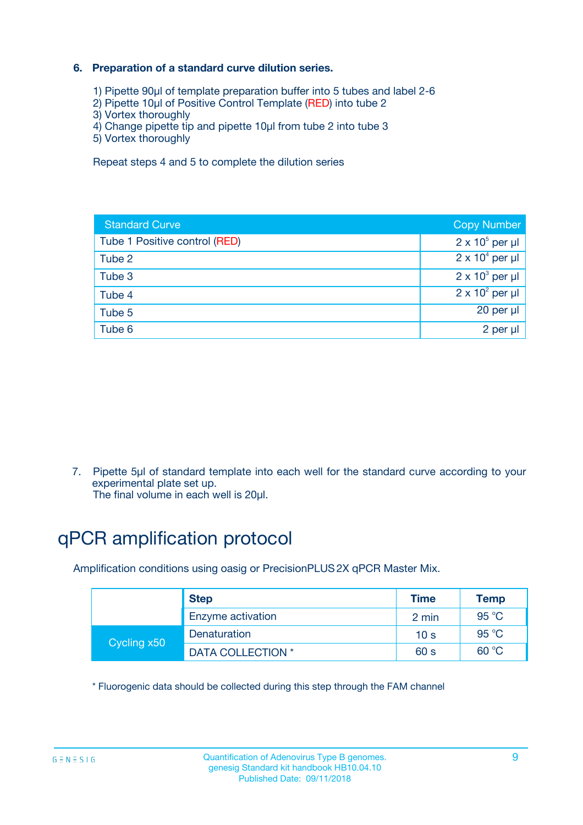#### **6. Preparation of a standard curve dilution series.**

- 1) Pipette 90µl of template preparation buffer into 5 tubes and label 2-6
- 2) Pipette 10µl of Positive Control Template (RED) into tube 2
- 3) Vortex thoroughly
- 4) Change pipette tip and pipette 10µl from tube 2 into tube 3
- 5) Vortex thoroughly

Repeat steps 4 and 5 to complete the dilution series

| <b>Standard Curve</b>         | <b>Copy Number</b>     |
|-------------------------------|------------------------|
| Tube 1 Positive control (RED) | $2 \times 10^5$ per µl |
| Tube 2                        | $2 \times 10^4$ per µl |
| Tube 3                        | $2 \times 10^3$ per µl |
| Tube 4                        | $2 \times 10^2$ per µl |
| Tube 5                        | 20 per µl              |
| Tube 6                        | 2 per ul               |

7. Pipette 5µl of standard template into each well for the standard curve according to your experimental plate set up.

The final volume in each well is 20µl.

### qPCR amplification protocol

Amplification conditions using oasig or PrecisionPLUS2X qPCR Master Mix.

|             | <b>Step</b>       | <b>Time</b>     | Temp    |
|-------------|-------------------|-----------------|---------|
|             | Enzyme activation | 2 min           | 95 °C   |
| Cycling x50 | Denaturation      | 10 <sub>s</sub> | 95 $°C$ |
|             | DATA COLLECTION * | 60 s            | 60 °C   |

\* Fluorogenic data should be collected during this step through the FAM channel